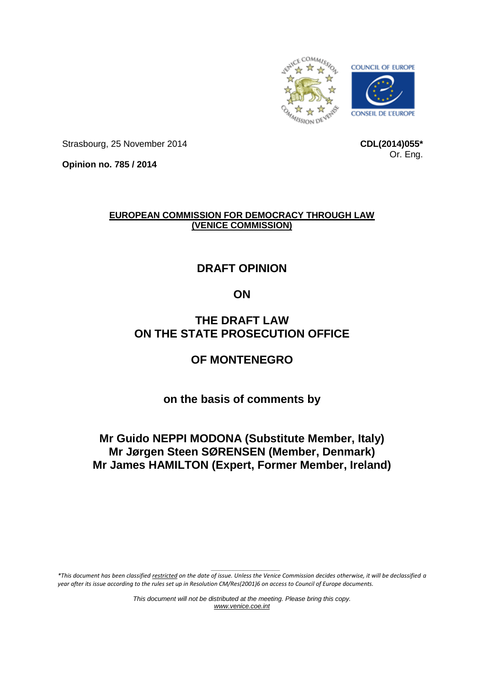

Strasbourg, 25 November 2014

**CDL(2014)055\*** Or. Eng.

**Opinion no. 785 / 2014**

# **EUROPEAN COMMISSION FOR DEMOCRACY THROUGH LAW (VENICE COMMISSION)**

# **DRAFT OPINION**

# **ON**

# **THE DRAFT LAW ON THE STATE PROSECUTION OFFICE**

# **OF MONTENEGRO**

**on the basis of comments by**

# **Mr Guido NEPPI MODONA (Substitute Member, Italy) Mr Jørgen Steen SØRENSEN (Member, Denmark) Mr James HAMILTON (Expert, Former Member, Ireland)**

*\_\_\_\_\_\_\_\_\_\_\_\_\_\_\_\_\_\_\_ \*This document has been classified restricted on the date of issue. Unless the Venice Commission decides otherwise, it will be declassified a year after its issue according to the rules set up in Resolution CM/Res(2001)6 on access to Council of Europe documents.*

> *This document will not be distributed at the meeting. Please bring this copy. [www.venice.coe.int](http://www.venice.coe.int/)*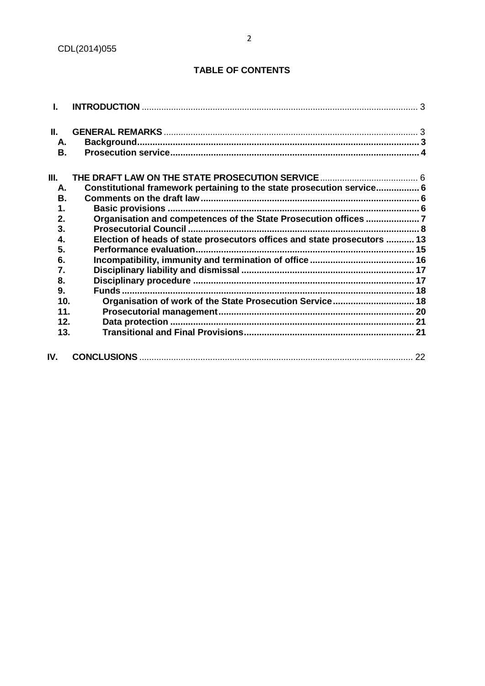# **TABLE OF CONTENTS**

| Ī.   |                                                                          |    |
|------|--------------------------------------------------------------------------|----|
| Ш.   |                                                                          |    |
| А.   |                                                                          |    |
| В.   |                                                                          |    |
| III. |                                                                          |    |
| А.   | Constitutional framework pertaining to the state prosecution service 6   |    |
| В.   |                                                                          |    |
| 1.   |                                                                          |    |
| 2.   | Organisation and competences of the State Prosecution offices 7          |    |
| 3.   |                                                                          |    |
| 4.   | Election of heads of state prosecutors offices and state prosecutors  13 |    |
| 5.   |                                                                          |    |
| 6.   |                                                                          |    |
| 7.   |                                                                          |    |
| 8.   |                                                                          |    |
| 9.   |                                                                          |    |
| 10.  | Organisation of work of the State Prosecution Service 18                 |    |
| 11.  |                                                                          |    |
| 12.  |                                                                          |    |
| 13.  |                                                                          |    |
| IV.  |                                                                          | 22 |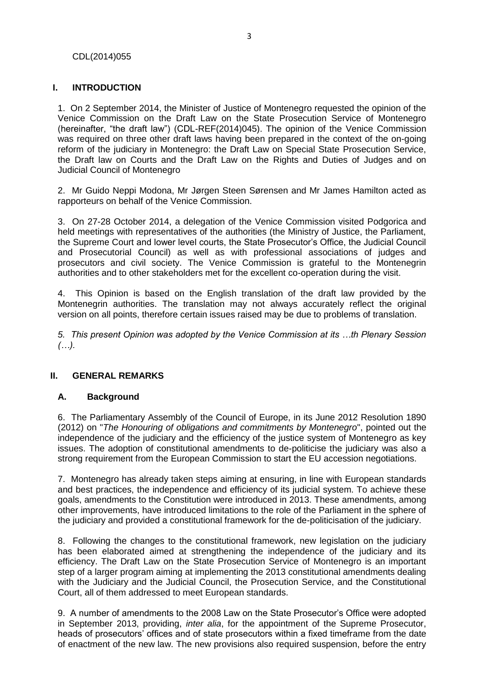#### CDL(2014)055

### **I. INTRODUCTION**

1. On 2 September 2014, the Minister of Justice of Montenegro requested the opinion of the Venice Commission on the Draft Law on the State Prosecution Service of Montenegro (hereinafter, "the draft law") (CDL-REF(2014)045). The opinion of the Venice Commission was required on three other draft laws having been prepared in the context of the on-going reform of the judiciary in Montenegro: the Draft Law on Special State Prosecution Service, the Draft law on Courts and the Draft Law on [the Rights and Duties of Judges and on](http://www.venice.coe.int/webforms/documents/?pdf=CDL-REF(2014)044-e)  [Judicial Council of Montenegro](http://www.venice.coe.int/webforms/documents/?pdf=CDL-REF(2014)044-e)

2. Mr Guido Neppi Modona, Mr Jørgen Steen Sørensen and Mr James Hamilton acted as rapporteurs on behalf of the Venice Commission.

3. On 27-28 October 2014, a delegation of the Venice Commission visited Podgorica and held meetings with representatives of the authorities (the Ministry of Justice, the Parliament, the Supreme Court and lower level courts, the State Prosecutor's Office, the Judicial Council and Prosecutorial Council) as well as with professional associations of judges and prosecutors and civil society. The Venice Commission is grateful to the Montenegrin authorities and to other stakeholders met for the excellent co-operation during the visit.

4. This Opinion is based on the English translation of the draft law provided by the Montenegrin authorities. The translation may not always accurately reflect the original version on all points, therefore certain issues raised may be due to problems of translation.

*5. This present Opinion was adopted by the Venice Commission at its …th Plenary Session (…).*

### <span id="page-2-0"></span>**II. GENERAL REMARKS**

### <span id="page-2-1"></span>**A. Background**

6. The Parliamentary Assembly of the Council of Europe, in its June 2012 Resolution 1890 (2012) on "*The Honouring of obligations and commitments by Montenegro*", pointed out the independence of the judiciary and the efficiency of the justice system of Montenegro as key issues. The adoption of constitutional amendments to de-politicise the judiciary was also a strong requirement from the European Commission to start the EU accession negotiations.

7. Montenegro has already taken steps aiming at ensuring, in line with European standards and best practices, the independence and efficiency of its judicial system. To achieve these goals, amendments to the Constitution were introduced in 2013. These amendments, among other improvements, have introduced limitations to the role of the Parliament in the sphere of the judiciary and provided a constitutional framework for the de-politicisation of the judiciary.

8. Following the changes to the constitutional framework, new legislation on the judiciary has been elaborated aimed at strengthening the independence of the judiciary and its efficiency. The Draft Law on the State Prosecution Service of Montenegro is an important step of a larger program aiming at implementing the 2013 constitutional amendments dealing with the Judiciary and the Judicial Council, the Prosecution Service, and the Constitutional Court, all of them addressed to meet European standards.

9. A number of amendments to the 2008 Law on the State Prosecutor's Office were adopted in September 2013, providing, *inter alia*, for the appointment of the Supreme Prosecutor, heads of prosecutors' offices and of state prosecutors within a fixed timeframe from the date of enactment of the new law. The new provisions also required suspension, before the entry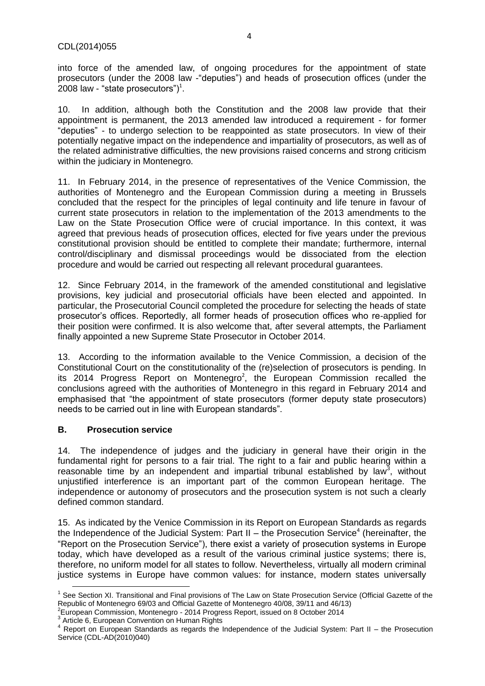into force of the amended law, of ongoing procedures for the appointment of state prosecutors (under the 2008 law -"deputies") and heads of prosecution offices (under the 2008 law - "state prosecutors") $^1$ .

10. In addition, although both the Constitution and the 2008 law provide that their appointment is permanent, the 2013 amended law introduced a requirement - for former "deputies" - to undergo selection to be reappointed as state prosecutors. In view of their potentially negative impact on the independence and impartiality of prosecutors, as well as of the related administrative difficulties, the new provisions raised concerns and strong criticism within the judiciary in Montenegro.

11. In February 2014, in the presence of representatives of the Venice Commission, the authorities of Montenegro and the European Commission during a meeting in Brussels concluded that the respect for the principles of legal continuity and life tenure in favour of current state prosecutors in relation to the implementation of the 2013 amendments to the Law on the State Prosecution Office were of crucial importance. In this context, it was agreed that previous heads of prosecution offices, elected for five years under the previous constitutional provision should be entitled to complete their mandate; furthermore, internal control/disciplinary and dismissal proceedings would be dissociated from the election procedure and would be carried out respecting all relevant procedural guarantees.

12. Since February 2014, in the framework of the amended constitutional and legislative provisions, key judicial and prosecutorial officials have been elected and appointed. In particular, the Prosecutorial Council completed the procedure for selecting the heads of state prosecutor's offices. Reportedly, all former heads of prosecution offices who re-applied for their position were confirmed. It is also welcome that, after several attempts, the Parliament finally appointed a new Supreme State Prosecutor in October 2014.

13. According to the information available to the Venice Commission, a decision of the Constitutional Court on the constitutionality of the (re)selection of prosecutors is pending. In its 2014 Progress Report on Montenegro<sup>2</sup>, the European Commission recalled the conclusions agreed with the authorities of Montenegro in this regard in February 2014 and emphasised that "the appointment of state prosecutors (former deputy state prosecutors) needs to be carried out in line with European standards".

### <span id="page-3-0"></span>**B. Prosecution service**

**.** 

14. The independence of judges and the judiciary in general have their origin in the fundamental right for persons to a fair trial. The right to a fair and public hearing within a reasonable time by an independent and impartial tribunal established by law<sup>3</sup>, without unjustified interference is an important part of the common European heritage. The independence or autonomy of prosecutors and the prosecution system is not such a clearly defined common standard.

15. As indicated by the Venice Commission in its Report on European Standards as regards the Independence of the Judicial System: Part II – the Prosecution Service<sup>4</sup> (hereinafter, the "Report on the Prosecution Service"), there exist a variety of prosecution systems in Europe today, which have developed as a result of the various criminal justice systems; there is, therefore, no uniform model for all states to follow. Nevertheless, virtually all modern criminal justice systems in Europe have common values: for instance, modern states universally

<sup>&</sup>lt;sup>1</sup> See Section XI. Transitional and Final provisions of The Law on State Prosecution Service (Official Gazette of the Republic of Montenegro 69/03 and Official Gazette of Montenegro 40/08, 39/11 and 46/13)<br><sup>2</sup>European Commission, Montenegro - 2014 Progress Report, issued on 8 October 2014

<sup>&</sup>lt;sup>3</sup> Article 6, European Convention on Human Rights

<sup>4</sup> Report on European Standards as regards the Independence of the Judicial System: Part II – the Prosecution Service (CDL-AD(2010)040)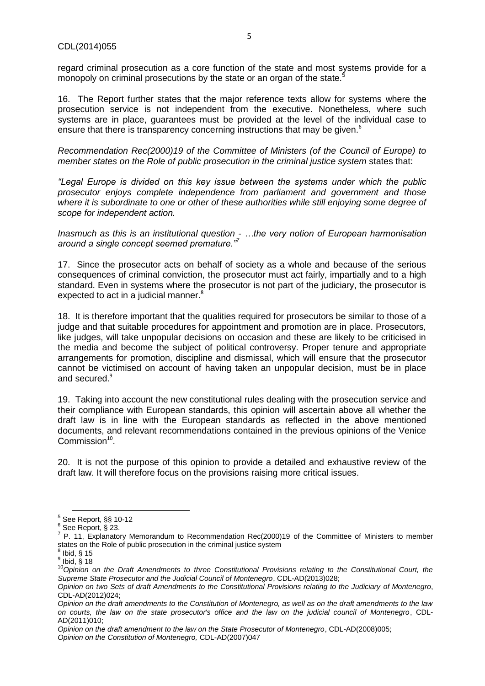regard criminal prosecution as a core function of the state and most systems provide for a monopoly on criminal prosecutions by the state or an organ of the state.<sup>5</sup>

16. The Report further states that the major reference texts allow for systems where the prosecution service is not independent from the executive. Nonetheless, where such systems are in place, guarantees must be provided at the level of the individual case to ensure that there is transparency concerning instructions that may be given.<sup>6</sup>

*Recommendation Rec(2000)19 of the Committee of Ministers (of the Council of Europe) to member states on the Role of public prosecution in the criminal justice system* states that:

*"Legal Europe is divided on this key issue between the systems under which the public prosecutor enjoys complete independence from parliament and government and those where it is subordinate to one or other of these authorities while still enjoying some degree of scope for independent action.*

*Inasmuch as this is an institutional question - …the very notion of European harmonisation around a single concept seemed premature."<sup>7</sup>*

17. Since the prosecutor acts on behalf of society as a whole and because of the serious consequences of criminal conviction, the prosecutor must act fairly, impartially and to a high standard. Even in systems where the prosecutor is not part of the judiciary, the prosecutor is expected to act in a judicial manner. $8$ 

18. It is therefore important that the qualities required for prosecutors be similar to those of a judge and that suitable procedures for appointment and promotion are in place. Prosecutors, like judges, will take unpopular decisions on occasion and these are likely to be criticised in the media and become the subject of political controversy. Proper tenure and appropriate arrangements for promotion, discipline and dismissal, which will ensure that the prosecutor cannot be victimised on account of having taken an unpopular decision, must be in place and secured.<sup>9</sup>

19. Taking into account the new constitutional rules dealing with the prosecution service and their compliance with European standards, this opinion will ascertain above all whether the draft law is in line with the European standards as reflected in the above mentioned documents, and relevant recommendations contained in the previous opinions of the Venice  $Common<sup>10</sup>$ .

20. It is not the purpose of this opinion to provide a detailed and exhaustive review of the draft law. It will therefore focus on the provisions raising more critical issues.

1

<sup>5</sup> See Report, §§ 10-12

 $^6$  See Report,  $\check{\S}$  23.

P. 11, Explanatory Memorandum to Recommendation Rec(2000)19 of the Committee of Ministers to member states on the Role of public prosecution in the criminal justice system 8 Ibid, § 15

 $^9$  Ibid,  $\tilde{\S}$  18

<sup>10&</sup>lt;sup>10</sup>Opinion on the Draft Amendments to three Constitutional Provisions relating to the Constitutional Court, the *Supreme State Prosecutor and the Judicial Council of Montenegro*, CDL-AD(2013)028;

*Opinion on two Sets of draft Amendments to the Constitutional Provisions relating to the Judiciary of Montenegro*, CDL-AD(2012)024;

*Opinion on the draft amendments to the Constitution of Montenegro, as well as on the draft amendments to the law on courts, the law on the state prosecutor's office and the law on the judicial council of Montenegro*, CDL-AD(2011)010;

*Opinion on the draft amendment to the law on the State Prosecutor of Montenegro*, CDL-AD(2008)005; *Opinion on the Constitution of Montenegro,* CDL-AD(2007)047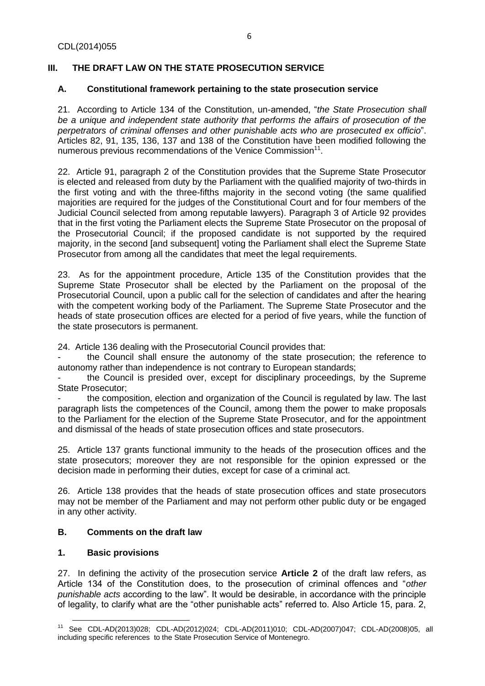# <span id="page-5-0"></span>**III. THE DRAFT LAW ON THE STATE PROSECUTION SERVICE**

# <span id="page-5-1"></span>**A. Constitutional framework pertaining to the state prosecution service**

21. According to Article 134 of the Constitution, un-amended, "*the State Prosecution shall be a unique and independent state authority that performs the affairs of prosecution of the perpetrators of criminal offenses and other punishable acts who are prosecuted ex officio*". Articles 82, 91, 135, 136, 137 and 138 of the Constitution have been modified following the numerous previous recommendations of the Venice Commission<sup>11</sup>.

22. Article 91, paragraph 2 of the Constitution provides that the Supreme State Prosecutor is elected and released from duty by the Parliament with the qualified majority of two-thirds in the first voting and with the three-fifths majority in the second voting (the same qualified majorities are required for the judges of the Constitutional Court and for four members of the Judicial Council selected from among reputable lawyers). Paragraph 3 of Article 92 provides that in the first voting the Parliament elects the Supreme State Prosecutor on the proposal of the Prosecutorial Council; if the proposed candidate is not supported by the required majority, in the second [and subsequent] voting the Parliament shall elect the Supreme State Prosecutor from among all the candidates that meet the legal requirements.

23. As for the appointment procedure, Article 135 of the Constitution provides that the Supreme State Prosecutor shall be elected by the Parliament on the proposal of the Prosecutorial Council, upon a public call for the selection of candidates and after the hearing with the competent working body of the Parliament. The Supreme State Prosecutor and the heads of state prosecution offices are elected for a period of five years, while the function of the state prosecutors is permanent.

24. Article 136 dealing with the Prosecutorial Council provides that:

- the Council shall ensure the autonomy of the state prosecution; the reference to autonomy rather than independence is not contrary to European standards;

the Council is presided over, except for disciplinary proceedings, by the Supreme State Prosecutor;

- the composition, election and organization of the Council is regulated by law. The last paragraph lists the competences of the Council, among them the power to make proposals to the Parliament for the election of the Supreme State Prosecutor, and for the appointment and dismissal of the heads of state prosecution offices and state prosecutors.

25. Article 137 grants functional immunity to the heads of the prosecution offices and the state prosecutors; moreover they are not responsible for the opinion expressed or the decision made in performing their duties, except for case of a criminal act.

26. Article 138 provides that the heads of state prosecution offices and state prosecutors may not be member of the Parliament and may not perform other public duty or be engaged in any other activity.

# <span id="page-5-2"></span>**B. Comments on the draft law**

### <span id="page-5-3"></span>**1. Basic provisions**

27. In defining the activity of the prosecution service **Article 2** of the draft law refers, as Article 134 of the Constitution does, to the prosecution of criminal offences and "*other punishable acts* according to the law". It would be desirable, in accordance with the principle of legality, to clarify what are the "other punishable acts" referred to. Also Article 15, para. 2,

**<sup>.</sup>** <sup>11</sup> See CDL-AD(2013)028; CDL-AD(2012)024; CDL-AD(2011)010; CDL-AD(2007)047; CDL-AD(2008)05, all including specific references to the State Prosecution Service of Montenegro.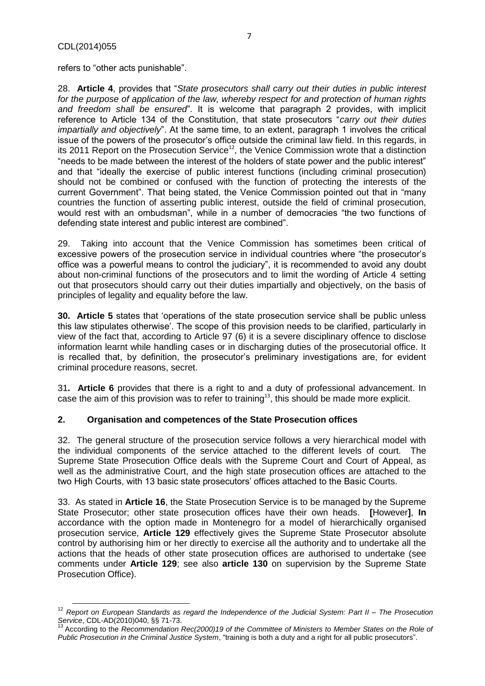refers to "other acts punishable".

28. **Article 4**, provides that "*State prosecutors shall carry out their duties in public interest for the purpose of application of the law, whereby respect for and protection of human rights and freedom shall be ensured*". It is welcome that paragraph 2 provides, with implicit reference to Article 134 of the Constitution, that state prosecutors "*carry out their duties impartially and objectively*". At the same time, to an extent, paragraph 1 involves the critical issue of the powers of the prosecutor's office outside the criminal law field. In this regards, in its 2011 Report on the Prosecution Service<sup>12</sup>, the Venice Commission wrote that a distinction "needs to be made between the interest of the holders of state power and the public interest" and that "ideally the exercise of public interest functions (including criminal prosecution) should not be combined or confused with the function of protecting the interests of the current Government". That being stated, the Venice Commission pointed out that in "many countries the function of asserting public interest, outside the field of criminal prosecution, would rest with an ombudsman", while in a number of democracies "the two functions of defending state interest and public interest are combined".

29. Taking into account that the Venice Commission has sometimes been critical of excessive powers of the prosecution service in individual countries where "the prosecutor's office was a powerful means to control the judiciary", it is recommended to avoid any doubt about non-criminal functions of the prosecutors and to limit the wording of Article 4 setting out that prosecutors should carry out their duties impartially and objectively, on the basis of principles of legality and equality before the law.

**30. Article 5** states that 'operations of the state prosecution service shall be public unless this law stipulates otherwise'. The scope of this provision needs to be clarified, particularly in view of the fact that, according to Article 97 (6) it is a severe disciplinary offence to disclose information learnt while handling cases or in discharging duties of the prosecutorial office. It is recalled that, by definition, the prosecutor's preliminary investigations are, for evident criminal procedure reasons, secret.

31**. Article 6** provides that there is a right to and a duty of professional advancement. In case the aim of this provision was to refer to training<sup>13</sup>, this should be made more explicit.

### <span id="page-6-0"></span>**2. Organisation and competences of the State Prosecution offices**

32. The general structure of the prosecution service follows a very hierarchical model with the individual components of the service attached to the different levels of court. The Supreme State Prosecution Office deals with the Supreme Court and Court of Appeal, as well as the administrative Court, and the high state prosecution offices are attached to the two High Courts, with 13 basic state prosecutors' offices attached to the Basic Courts.

33. As stated in **Article 16**, the State Prosecution Service is to be managed by the Supreme State Prosecutor; other state prosecution offices have their own heads. **[**However**]**, **In** accordance with the option made in Montenegro for a model of hierarchically organised prosecution service, **Article 129** effectively gives the Supreme State Prosecutor absolute control by authorising him or her directly to exercise all the authority and to undertake all the actions that the heads of other state prosecution offices are authorised to undertake (see comments under **Article 129**; see also **article 130** on supervision by the Supreme State Prosecution Office).

**<sup>.</sup>** <sup>12</sup> *Report on European Standards as regard the Independence of the Judicial System: Part II – The Prosecution Service, CDL-AD(2010)040, §§ 71-73.*<br><sup>13</sup> Assextive *Service*, CDL-AD(2010)040, §§ 71-73.

<sup>13</sup> According to the *Recommendation Rec(2000)19 of the Committee of Ministers to Member States on the Role of Public Prosecution in the Criminal Justice System*, "training is both a duty and a right for all public prosecutors".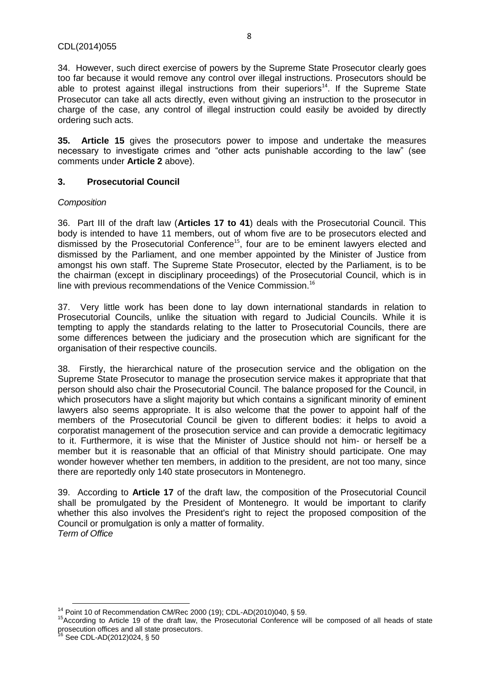34. However, such direct exercise of powers by the Supreme State Prosecutor clearly goes too far because it would remove any control over illegal instructions. Prosecutors should be able to protest against illegal instructions from their superiors<sup>14</sup>. If the Supreme State Prosecutor can take all acts directly, even without giving an instruction to the prosecutor in charge of the case, any control of illegal instruction could easily be avoided by directly ordering such acts.

**35. Article 15** gives the prosecutors power to impose and undertake the measures necessary to investigate crimes and "other acts punishable according to the law" (see comments under **Article 2** above).

### <span id="page-7-0"></span>**3. Prosecutorial Council**

# *Composition*

36. Part III of the draft law (**Articles 17 to 41**) deals with the Prosecutorial Council. This body is intended to have 11 members, out of whom five are to be prosecutors elected and dismissed by the Prosecutorial Conference<sup>15</sup>, four are to be eminent lawyers elected and dismissed by the Parliament, and one member appointed by the Minister of Justice from amongst his own staff. The Supreme State Prosecutor, elected by the Parliament, is to be the chairman (except in disciplinary proceedings) of the Prosecutorial Council, which is in line with previous recommendations of the Venice Commission.<sup>16</sup>

37. Very little work has been done to lay down international standards in relation to Prosecutorial Councils, unlike the situation with regard to Judicial Councils. While it is tempting to apply the standards relating to the latter to Prosecutorial Councils, there are some differences between the judiciary and the prosecution which are significant for the organisation of their respective councils.

38. Firstly, the hierarchical nature of the prosecution service and the obligation on the Supreme State Prosecutor to manage the prosecution service makes it appropriate that that person should also chair the Prosecutorial Council. The balance proposed for the Council, in which prosecutors have a slight majority but which contains a significant minority of eminent lawyers also seems appropriate. It is also welcome that the power to appoint half of the members of the Prosecutorial Council be given to different bodies: it helps to avoid a corporatist management of the prosecution service and can provide a democratic legitimacy to it. Furthermore, it is wise that the Minister of Justice should not him- or herself be a member but it is reasonable that an official of that Ministry should participate. One may wonder however whether ten members, in addition to the president, are not too many, since there are reportedly only 140 state prosecutors in Montenegro.

39. According to **Article 17** of the draft law, the composition of the Prosecutorial Council shall be promulgated by the President of Montenegro. It would be important to clarify whether this also involves the President's right to reject the proposed composition of the Council or promulgation is only a matter of formality. *Term of Office*

**<sup>.</sup>** <sup>14</sup> Point 10 of Recommendation CM/Rec 2000 (19); CDL-AD(2010)040, § 59.

<sup>&</sup>lt;sup>15</sup>According to Article 19 of the draft law, the Prosecutorial Conference will be composed of all heads of state prosecution offices and all state prosecutors.

<sup>&</sup>lt;sup>16</sup> See CDL-AD(2012)024, § 50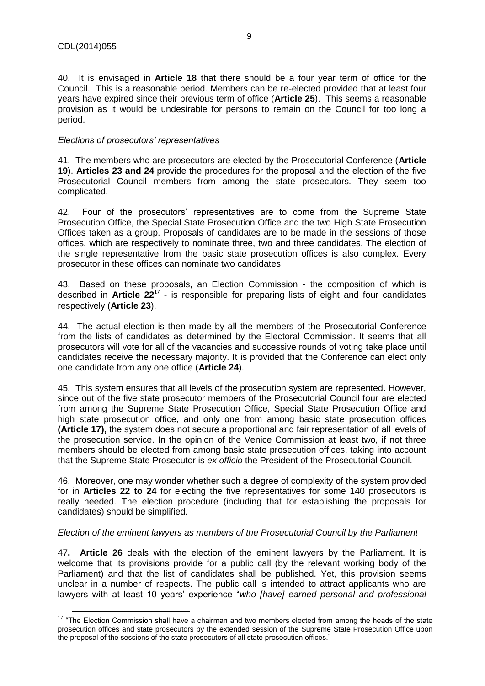$\overline{a}$ 

40. It is envisaged in **Article 18** that there should be a four year term of office for the Council. This is a reasonable period. Members can be re-elected provided that at least four years have expired since their previous term of office (**Article 25**). This seems a reasonable provision as it would be undesirable for persons to remain on the Council for too long a period.

#### *Elections of prosecutors' representatives*

41. The members who are prosecutors are elected by the Prosecutorial Conference (**Article 19**). **Articles 23 and 24** provide the procedures for the proposal and the election of the five Prosecutorial Council members from among the state prosecutors. They seem too complicated.

42. Four of the prosecutors' representatives are to come from the Supreme State Prosecution Office, the Special State Prosecution Office and the two High State Prosecution Offices taken as a group. Proposals of candidates are to be made in the sessions of those offices, which are respectively to nominate three, two and three candidates. The election of the single representative from the basic state prosecution offices is also complex. Every prosecutor in these offices can nominate two candidates.

43. Based on these proposals, an Election Commission - the composition of which is described in **Article 22**<sup>17</sup> - is responsible for preparing lists of eight and four candidates respectively (**Article 23**).

44. The actual election is then made by all the members of the Prosecutorial Conference from the lists of candidates as determined by the Electoral Commission. It seems that all prosecutors will vote for all of the vacancies and successive rounds of voting take place until candidates receive the necessary majority. It is provided that the Conference can elect only one candidate from any one office (**Article 24**).

45. This system ensures that all levels of the prosecution system are represented**.** However, since out of the five state prosecutor members of the Prosecutorial Council four are elected from among the Supreme State Prosecution Office, Special State Prosecution Office and high state prosecution office, and only one from among basic state prosecution offices **(Article 17),** the system does not secure a proportional and fair representation of all levels of the prosecution service. In the opinion of the Venice Commission at least two, if not three members should be elected from among basic state prosecution offices, taking into account that the Supreme State Prosecutor is *ex officio* the President of the Prosecutorial Council.

46. Moreover, one may wonder whether such a degree of complexity of the system provided for in **Articles 22 to 24** for electing the five representatives for some 140 prosecutors is really needed. The election procedure (including that for establishing the proposals for candidates) should be simplified.

### *Election of the eminent lawyers as members of the Prosecutorial Council by the Parliament*

47**. Article 26** deals with the election of the eminent lawyers by the Parliament. It is welcome that its provisions provide for a public call (by the relevant working body of the Parliament) and that the list of candidates shall be published. Yet, this provision seems unclear in a number of respects. The public call is intended to attract applicants who are lawyers with at least 10 years' experience "*who [have] earned personal and professional* 

 $17$  "The Election Commission shall have a chairman and two members elected from among the heads of the state prosecution offices and state prosecutors by the extended session of the Supreme State Prosecution Office upon the proposal of the sessions of the state prosecutors of all state prosecution offices."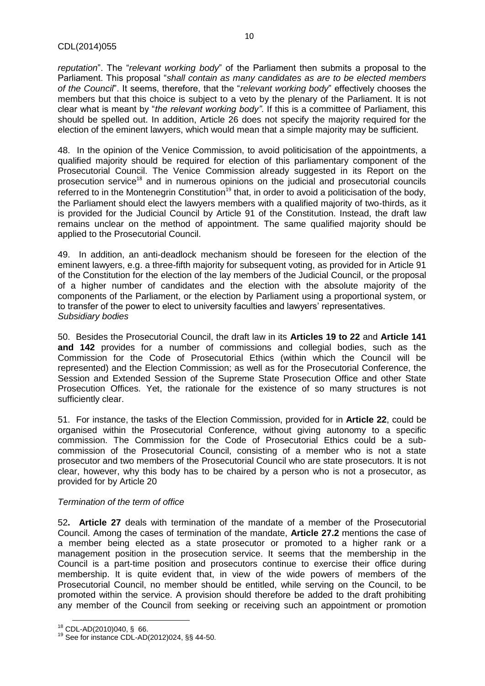#### CDL(2014)055

*reputation*". The "*relevant working body*" of the Parliament then submits a proposal to the Parliament. This proposal "*shall contain as many candidates as are to be elected members of the Council*". It seems, therefore, that the "*relevant working body*" effectively chooses the members but that this choice is subject to a veto by the plenary of the Parliament. It is not clear what is meant by "*the relevant working body"*. If this is a committee of Parliament, this should be spelled out. In addition, Article 26 does not specify the majority required for the election of the eminent lawyers, which would mean that a simple majority may be sufficient.

48. In the opinion of the Venice Commission, to avoid politicisation of the appointments, a qualified majority should be required for election of this parliamentary component of the Prosecutorial Council. The Venice Commission already suggested in its Report on the prosecution service<sup>18</sup> and in numerous opinions on the judicial and prosecutorial councils referred to in the Montenegrin Constitution<sup>19</sup> that, in order to avoid a politicisation of the body, the Parliament should elect the lawyers members with a qualified majority of two-thirds, as it is provided for the Judicial Council by Article 91 of the Constitution. Instead, the draft law remains unclear on the method of appointment. The same qualified majority should be applied to the Prosecutorial Council.

49. In addition, an anti-deadlock mechanism should be foreseen for the election of the eminent lawyers, e.g. a three-fifth majority for subsequent voting, as provided for in Article 91 of the Constitution for the election of the lay members of the Judicial Council, or the proposal of a higher number of candidates and the election with the absolute majority of the components of the Parliament, or the election by Parliament using a proportional system, or to transfer of the power to elect to university faculties and lawyers' representatives. *Subsidiary bodies*

50. Besides the Prosecutorial Council, the draft law in its **Articles 19 to 22** and **Article 141 and 142** provides for a number of commissions and collegial bodies, such as the Commission for the Code of Prosecutorial Ethics (within which the Council will be represented) and the Election Commission; as well as for the Prosecutorial Conference, the Session and Extended Session of the Supreme State Prosecution Office and other State Prosecution Offices. Yet, the rationale for the existence of so many structures is not sufficiently clear.

51. For instance, the tasks of the Election Commission, provided for in **Article 22**, could be organised within the Prosecutorial Conference, without giving autonomy to a specific commission. The Commission for the Code of Prosecutorial Ethics could be a subcommission of the Prosecutorial Council, consisting of a member who is not a state prosecutor and two members of the Prosecutorial Council who are state prosecutors. It is not clear, however, why this body has to be chaired by a person who is not a prosecutor, as provided for by Article 20

### *Termination of the term of office*

52**. Article 27** deals with termination of the mandate of a member of the Prosecutorial Council. Among the cases of termination of the mandate, **Article 27.2** mentions the case of a member being elected as a state prosecutor or promoted to a higher rank or a management position in the prosecution service. It seems that the membership in the Council is a part-time position and prosecutors continue to exercise their office during membership. It is quite evident that, in view of the wide powers of members of the Prosecutorial Council, no member should be entitled, while serving on the Council, to be promoted within the service. A provision should therefore be added to the draft prohibiting any member of the Council from seeking or receiving such an appointment or promotion

**.** 

<sup>18</sup> CDL-AD(2010)040, § 66.

<sup>19</sup> See for instance CDL-AD(2012)024, §§ 44-50.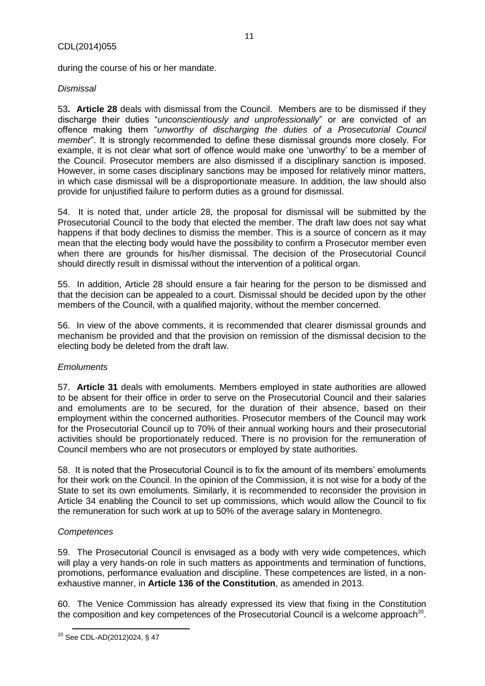during the course of his or her mandate.

### *Dismissal*

53**. Article 28** deals with dismissal from the Council. Members are to be dismissed if they discharge their duties "*unconscientiously and unprofessionally*" or are convicted of an offence making them "*unworthy of discharging the duties of a Prosecutorial Council member*". It is strongly recommended to define these dismissal grounds more closely. For example, it is not clear what sort of offence would make one 'unworthy' to be a member of the Council. Prosecutor members are also dismissed if a disciplinary sanction is imposed. However, in some cases disciplinary sanctions may be imposed for relatively minor matters, in which case dismissal will be a disproportionate measure. In addition, the law should also provide for unjustified failure to perform duties as a ground for dismissal.

11

54. It is noted that, under article 28, the proposal for dismissal will be submitted by the Prosecutorial Council to the body that elected the member. The draft law does not say what happens if that body declines to dismiss the member. This is a source of concern as it may mean that the electing body would have the possibility to confirm a Prosecutor member even when there are grounds for his/her dismissal. The decision of the Prosecutorial Council should directly result in dismissal without the intervention of a political organ.

55. In addition, Article 28 should ensure a fair hearing for the person to be dismissed and that the decision can be appealed to a court. Dismissal should be decided upon by the other members of the Council, with a qualified majority, without the member concerned.

56. In view of the above comments, it is recommended that clearer dismissal grounds and mechanism be provided and that the provision on remission of the dismissal decision to the electing body be deleted from the draft law.

### *Emoluments*

57. **Article 31** deals with emoluments. Members employed in state authorities are allowed to be absent for their office in order to serve on the Prosecutorial Council and their salaries and emoluments are to be secured, for the duration of their absence, based on their employment within the concerned authorities. Prosecutor members of the Council may work for the Prosecutorial Council up to 70% of their annual working hours and their prosecutorial activities should be proportionately reduced. There is no provision for the remuneration of Council members who are not prosecutors or employed by state authorities.

58. It is noted that the Prosecutorial Council is to fix the amount of its members' emoluments for their work on the Council. In the opinion of the Commission, it is not wise for a body of the State to set its own emoluments. Similarly, it is recommended to reconsider the provision in Article 34 enabling the Council to set up commissions, which would allow the Council to fix the remuneration for such work at up to 50% of the average salary in Montenegro.

### *Competences*

59. The Prosecutorial Council is envisaged as a body with very wide competences, which will play a very hands-on role in such matters as appointments and termination of functions, promotions, performance evaluation and discipline. These competences are listed, in a nonexhaustive manner, in **Article 136 of the Constitution**, as amended in 2013.

60. The Venice Commission has already expressed its view that fixing in the Constitution the composition and key competences of the Prosecutorial Council is a welcome approach<sup>20</sup>.

 $\overline{a}$ <sup>20</sup> See CDL-AD(2012)024, § 47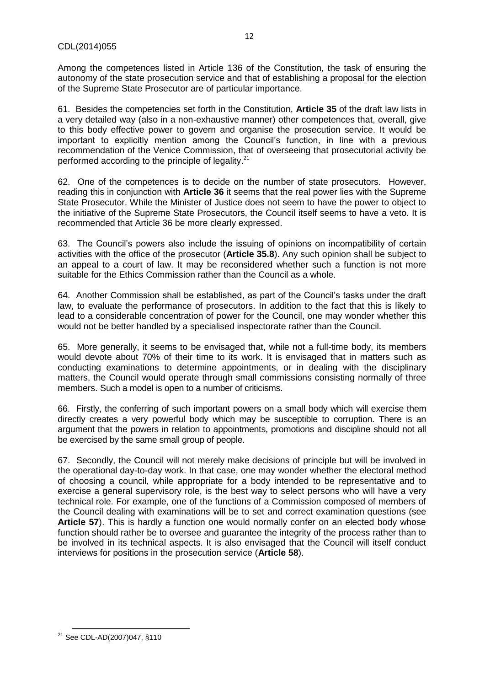Among the competences listed in Article 136 of the Constitution, the task of ensuring the autonomy of the state prosecution service and that of establishing a proposal for the election of the Supreme State Prosecutor are of particular importance.

61. Besides the competencies set forth in the Constitution, **Article 35** of the draft law lists in a very detailed way (also in a non-exhaustive manner) other competences that, overall, give to this body effective power to govern and organise the prosecution service. It would be important to explicitly mention among the Council's function, in line with a previous recommendation of the Venice Commission, that of overseeing that prosecutorial activity be performed according to the principle of legality. $21$ 

62. One of the competences is to decide on the number of state prosecutors. However, reading this in conjunction with **Article 36** it seems that the real power lies with the Supreme State Prosecutor. While the Minister of Justice does not seem to have the power to object to the initiative of the Supreme State Prosecutors, the Council itself seems to have a veto. It is recommended that Article 36 be more clearly expressed.

63. The Council's powers also include the issuing of opinions on incompatibility of certain activities with the office of the prosecutor (**Article 35.8**). Any such opinion shall be subject to an appeal to a court of law. It may be reconsidered whether such a function is not more suitable for the Ethics Commission rather than the Council as a whole.

64. Another Commission shall be established, as part of the Council's tasks under the draft law, to evaluate the performance of prosecutors. In addition to the fact that this is likely to lead to a considerable concentration of power for the Council, one may wonder whether this would not be better handled by a specialised inspectorate rather than the Council.

65. More generally, it seems to be envisaged that, while not a full-time body, its members would devote about 70% of their time to its work. It is envisaged that in matters such as conducting examinations to determine appointments, or in dealing with the disciplinary matters, the Council would operate through small commissions consisting normally of three members. Such a model is open to a number of criticisms.

66. Firstly, the conferring of such important powers on a small body which will exercise them directly creates a very powerful body which may be susceptible to corruption. There is an argument that the powers in relation to appointments, promotions and discipline should not all be exercised by the same small group of people.

67. Secondly, the Council will not merely make decisions of principle but will be involved in the operational day-to-day work. In that case, one may wonder whether the electoral method of choosing a council, while appropriate for a body intended to be representative and to exercise a general supervisory role, is the best way to select persons who will have a very technical role. For example, one of the functions of a Commission composed of members of the Council dealing with examinations will be to set and correct examination questions (see **Article 57**). This is hardly a function one would normally confer on an elected body whose function should rather be to oversee and guarantee the integrity of the process rather than to be involved in its technical aspects. It is also envisaged that the Council will itself conduct interviews for positions in the prosecution service (**Article 58**).

 $\overline{a}$ <sup>21</sup> See CDL-AD(2007)047, §110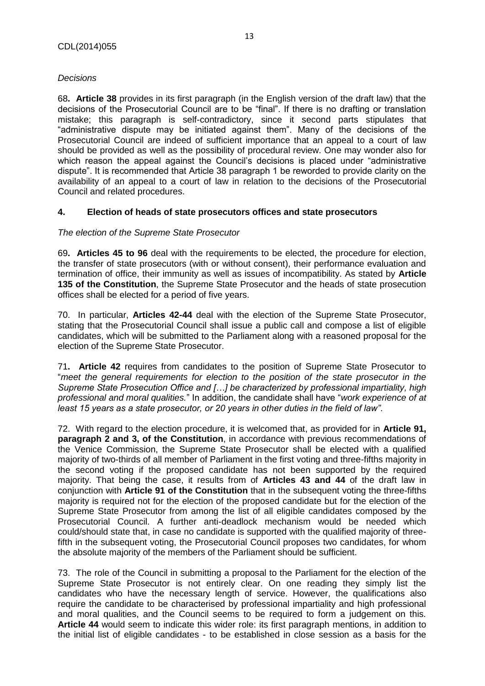# *Decisions*

68**. Article 38** provides in its first paragraph (in the English version of the draft law) that the decisions of the Prosecutorial Council are to be "final". If there is no drafting or translation mistake; this paragraph is self-contradictory, since it second parts stipulates that "administrative dispute may be initiated against them". Many of the decisions of the Prosecutorial Council are indeed of sufficient importance that an appeal to a court of law should be provided as well as the possibility of procedural review. One may wonder also for which reason the appeal against the Council's decisions is placed under "administrative dispute". It is recommended that Article 38 paragraph 1 be reworded to provide clarity on the availability of an appeal to a court of law in relation to the decisions of the Prosecutorial Council and related procedures.

# <span id="page-12-0"></span>**4. Election of heads of state prosecutors offices and state prosecutors**

### *The election of the Supreme State Prosecutor*

69**. Articles 45 to 96** deal with the requirements to be elected, the procedure for election, the transfer of state prosecutors (with or without consent), their performance evaluation and termination of office, their immunity as well as issues of incompatibility. As stated by **Article 135 of the Constitution**, the Supreme State Prosecutor and the heads of state prosecution offices shall be elected for a period of five years.

70. In particular, **Articles 42-44** deal with the election of the Supreme State Prosecutor, stating that the Prosecutorial Council shall issue a public call and compose a list of eligible candidates, which will be submitted to the Parliament along with a reasoned proposal for the election of the Supreme State Prosecutor.

71**. Article 42** requires from candidates to the position of Supreme State Prosecutor to "*meet the general requirements for election to the position of the state prosecutor in the Supreme State Prosecution Office and […] be characterized by professional impartiality, high professional and moral qualities.*" In addition, the candidate shall have "*work experience of at least 15 years as a state prosecutor, or 20 years in other duties in the field of law"*.

72. With regard to the election procedure, it is welcomed that, as provided for in **Article 91, paragraph 2 and 3, of the Constitution**, in accordance with previous recommendations of the Venice Commission, the Supreme State Prosecutor shall be elected with a qualified majority of two-thirds of all member of Parliament in the first voting and three-fifths majority in the second voting if the proposed candidate has not been supported by the required majority. That being the case, it results from of **Articles 43 and 44** of the draft law in conjunction with **Article 91 of the Constitution** that in the subsequent voting the three-fifths majority is required not for the election of the proposed candidate but for the election of the Supreme State Prosecutor from among the list of all eligible candidates composed by the Prosecutorial Council. A further anti-deadlock mechanism would be needed which could/should state that, in case no candidate is supported with the qualified majority of threefifth in the subsequent voting, the Prosecutorial Council proposes two candidates, for whom the absolute majority of the members of the Parliament should be sufficient.

73. The role of the Council in submitting a proposal to the Parliament for the election of the Supreme State Prosecutor is not entirely clear. On one reading they simply list the candidates who have the necessary length of service. However, the qualifications also require the candidate to be characterised by professional impartiality and high professional and moral qualities, and the Council seems to be required to form a judgement on this. **Article 44** would seem to indicate this wider role: its first paragraph mentions, in addition to the initial list of eligible candidates - to be established in close session as a basis for the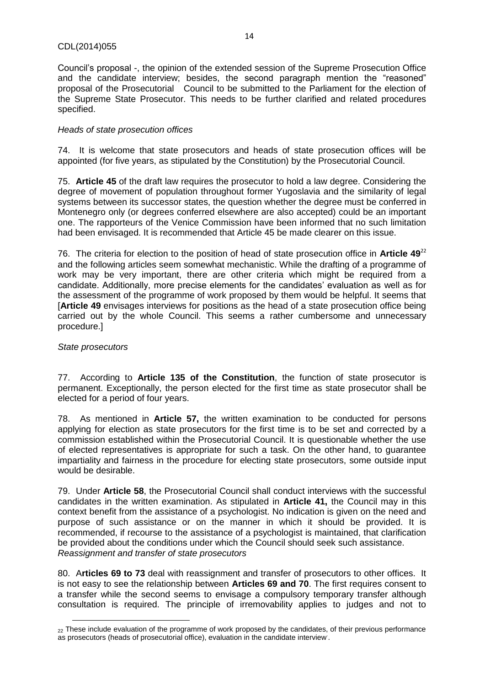Council's proposal -, the opinion of the extended session of the Supreme Prosecution Office and the candidate interview; besides, the second paragraph mention the "reasoned" proposal of the Prosecutorial Council to be submitted to the Parliament for the election of the Supreme State Prosecutor. This needs to be further clarified and related procedures specified.

### *Heads of state prosecution offices*

74. It is welcome that state prosecutors and heads of state prosecution offices will be appointed (for five years, as stipulated by the Constitution) by the Prosecutorial Council.

75. **Article 45** of the draft law requires the prosecutor to hold a law degree. Considering the degree of movement of population throughout former Yugoslavia and the similarity of legal systems between its successor states, the question whether the degree must be conferred in Montenegro only (or degrees conferred elsewhere are also accepted) could be an important one. The rapporteurs of the Venice Commission have been informed that no such limitation had been envisaged. It is recommended that Article 45 be made clearer on this issue.

76. The criteria for election to the position of head of state prosecution office in **Article 49**<sup>22</sup> and the following articles seem somewhat mechanistic. While the drafting of a programme of work may be very important, there are other criteria which might be required from a candidate. Additionally, more precise elements for the candidates' evaluation as well as for the assessment of the programme of work proposed by them would be helpful. It seems that [**Article 49** envisages interviews for positions as the head of a state prosecution office being carried out by the whole Council. This seems a rather cumbersome and unnecessary procedure.]

### *State prosecutors*

77. According to **Article 135 of the Constitution**, the function of state prosecutor is permanent. Exceptionally, the person elected for the first time as state prosecutor shall be elected for a period of four years.

78. As mentioned in **Article 57,** the written examination to be conducted for persons applying for election as state prosecutors for the first time is to be set and corrected by a commission established within the Prosecutorial Council. It is questionable whether the use of elected representatives is appropriate for such a task. On the other hand, to guarantee impartiality and fairness in the procedure for electing state prosecutors, some outside input would be desirable.

79. Under **Article 58**, the Prosecutorial Council shall conduct interviews with the successful candidates in the written examination. As stipulated in **Article 41,** the Council may in this context benefit from the assistance of a psychologist. No indication is given on the need and purpose of such assistance or on the manner in which it should be provided. It is recommended, if recourse to the assistance of a psychologist is maintained, that clarification be provided about the conditions under which the Council should seek such assistance. *Reassignment and transfer of state prosecutors* 

80. A**rticles 69 to 73** deal with reassignment and transfer of prosecutors to other offices. It is not easy to see the relationship between **Articles 69 and 70**. The first requires consent to a transfer while the second seems to envisage a compulsory temporary transfer although consultation is required. The principle of irremovability applies to judges and not to

**<sup>.</sup>** <sub>22</sub> These include evaluation of the programme of work proposed by the candidates, of their previous performance as prosecutors (heads of prosecutorial office), evaluation in the candidate interview. .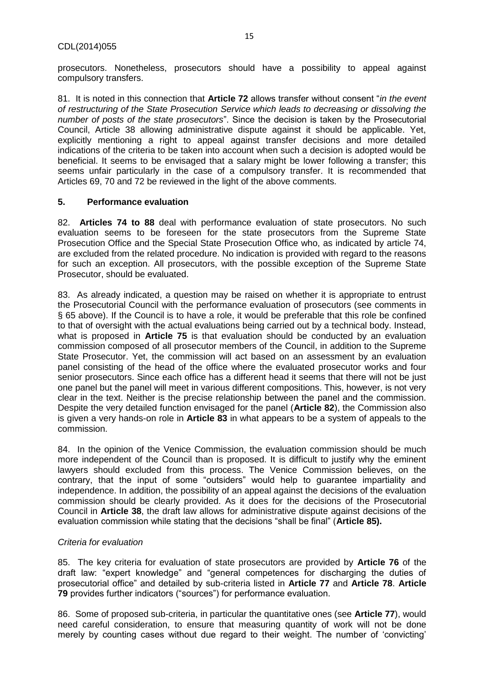prosecutors. Nonetheless, prosecutors should have a possibility to appeal against compulsory transfers.

81. It is noted in this connection that **Article 72** allows transfer without consent "*in the event of restructuring of the State Prosecution Service which leads to decreasing or dissolving the number of posts of the state prosecutors*". Since the decision is taken by the Prosecutorial Council, Article 38 allowing administrative dispute against it should be applicable. Yet, explicitly mentioning a right to appeal against transfer decisions and more detailed indications of the criteria to be taken into account when such a decision is adopted would be beneficial. It seems to be envisaged that a salary might be lower following a transfer; this seems unfair particularly in the case of a compulsory transfer. It is recommended that Articles 69, 70 and 72 be reviewed in the light of the above comments.

### <span id="page-14-0"></span>**5. Performance evaluation**

82. **Articles 74 to 88** deal with performance evaluation of state prosecutors. No such evaluation seems to be foreseen for the state prosecutors from the Supreme State Prosecution Office and the Special State Prosecution Office who, as indicated by article 74, are excluded from the related procedure. No indication is provided with regard to the reasons for such an exception. All prosecutors, with the possible exception of the Supreme State Prosecutor, should be evaluated.

83. As already indicated, a question may be raised on whether it is appropriate to entrust the Prosecutorial Council with the performance evaluation of prosecutors (see comments in § 65 above). If the Council is to have a role, it would be preferable that this role be confined to that of oversight with the actual evaluations being carried out by a technical body. Instead, what is proposed in **Article 75** is that evaluation should be conducted by an evaluation commission composed of all prosecutor members of the Council, in addition to the Supreme State Prosecutor. Yet, the commission will act based on an assessment by an evaluation panel consisting of the head of the office where the evaluated prosecutor works and four senior prosecutors. Since each office has a different head it seems that there will not be just one panel but the panel will meet in various different compositions. This, however, is not very clear in the text. Neither is the precise relationship between the panel and the commission. Despite the very detailed function envisaged for the panel (**Article 82**), the Commission also is given a very hands-on role in **Article 83** in what appears to be a system of appeals to the commission.

84. In the opinion of the Venice Commission, the evaluation commission should be much more independent of the Council than is proposed. It is difficult to justify why the eminent lawyers should excluded from this process. The Venice Commission believes, on the contrary, that the input of some "outsiders" would help to guarantee impartiality and independence. In addition, the possibility of an appeal against the decisions of the evaluation commission should be clearly provided. As it does for the decisions of the Prosecutorial Council in **Article 38**, the draft law allows for administrative dispute against decisions of the evaluation commission while stating that the decisions "shall be final" (**Article 85).**

### *Criteria for evaluation*

85. The key criteria for evaluation of state prosecutors are provided by **Article 76** of the draft law: "expert knowledge" and "general competences for discharging the duties of prosecutorial office" and detailed by sub-criteria listed in **Article 77** and **Article 78**. **Article 79** provides further indicators ("sources") for performance evaluation.

86. Some of proposed sub-criteria, in particular the quantitative ones (see **Article 77**), would need careful consideration, to ensure that measuring quantity of work will not be done merely by counting cases without due regard to their weight. The number of 'convicting'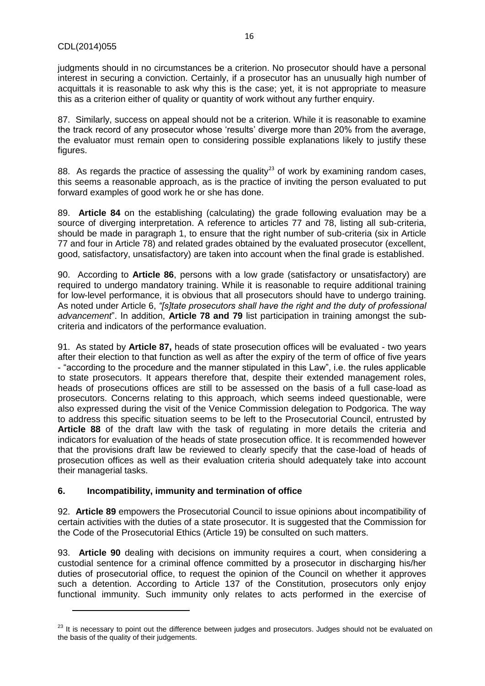**.** 

judgments should in no circumstances be a criterion. No prosecutor should have a personal interest in securing a conviction. Certainly, if a prosecutor has an unusually high number of acquittals it is reasonable to ask why this is the case; yet, it is not appropriate to measure this as a criterion either of quality or quantity of work without any further enquiry.

87. Similarly, success on appeal should not be a criterion. While it is reasonable to examine the track record of any prosecutor whose 'results' diverge more than 20% from the average, the evaluator must remain open to considering possible explanations likely to justify these figures.

88. As regards the practice of assessing the quality<sup>23</sup> of work by examining random cases, this seems a reasonable approach, as is the practice of inviting the person evaluated to put forward examples of good work he or she has done.

89. **Article 84** on the establishing (calculating) the grade following evaluation may be a source of diverging interpretation. A reference to articles 77 and 78, listing all sub-criteria, should be made in paragraph 1, to ensure that the right number of sub-criteria (six in Article 77 and four in Article 78) and related grades obtained by the evaluated prosecutor (excellent, good, satisfactory, unsatisfactory) are taken into account when the final grade is established.

90. According to **Article 86**, persons with a low grade (satisfactory or unsatisfactory) are required to undergo mandatory training. While it is reasonable to require additional training for low-level performance, it is obvious that all prosecutors should have to undergo training. As noted under Article 6, *"[s]tate prosecutors shall have the right and the duty of professional advancement*". In addition, **Article 78 and 79** list participation in training amongst the subcriteria and indicators of the performance evaluation.

91. As stated by **Article 87,** heads of state prosecution offices will be evaluated - two years after their election to that function as well as after the expiry of the term of office of five years - "according to the procedure and the manner stipulated in this Law", i.e. the rules applicable to state prosecutors. It appears therefore that, despite their extended management roles, heads of prosecutions offices are still to be assessed on the basis of a full case-load as prosecutors. Concerns relating to this approach, which seems indeed questionable, were also expressed during the visit of the Venice Commission delegation to Podgorica. The way to address this specific situation seems to be left to the Prosecutorial Council, entrusted by **Article 88** of the draft law with the task of regulating in more details the criteria and indicators for evaluation of the heads of state prosecution office. It is recommended however that the provisions draft law be reviewed to clearly specify that the case-load of heads of prosecution offices as well as their evaluation criteria should adequately take into account their managerial tasks.

### <span id="page-15-0"></span>**6. Incompatibility, immunity and termination of office**

92. **Article 89** empowers the Prosecutorial Council to issue opinions about incompatibility of certain activities with the duties of a state prosecutor. It is suggested that the Commission for the Code of the Prosecutorial Ethics (Article 19) be consulted on such matters.

93. **Article 90** dealing with decisions on immunity requires a court, when considering a custodial sentence for a criminal offence committed by a prosecutor in discharging his/her duties of prosecutorial office, to request the opinion of the Council on whether it approves such a detention. According to Article 137 of the Constitution, prosecutors only enjoy functional immunity. Such immunity only relates to acts performed in the exercise of

<sup>&</sup>lt;sup>23</sup> It is necessary to point out the difference between judges and prosecutors. Judges should not be evaluated on the basis of the quality of their judgements.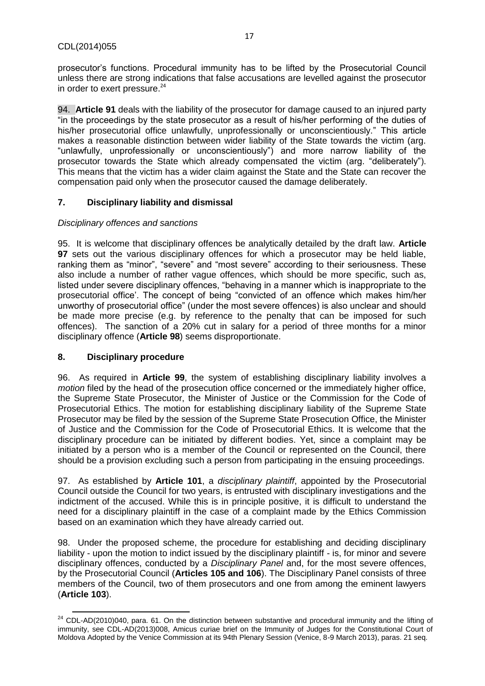prosecutor's functions. Procedural immunity has to be lifted by the Prosecutorial Council unless there are strong indications that false accusations are levelled against the prosecutor in order to exert pressure. $24$ 

94. **Article 91** deals with the liability of the prosecutor for damage caused to an injured party "in the proceedings by the state prosecutor as a result of his/her performing of the duties of his/her prosecutorial office unlawfully, unprofessionally or unconscientiously." This article makes a reasonable distinction between wider liability of the State towards the victim (arg. "unlawfully, unprofessionally or unconscientiously") and more narrow liability of the prosecutor towards the State which already compensated the victim (arg. "deliberately"). This means that the victim has a wider claim against the State and the State can recover the compensation paid only when the prosecutor caused the damage deliberately.

# <span id="page-16-0"></span>**7. Disciplinary liability and dismissal**

### *Disciplinary offences and sanctions*

95. It is welcome that disciplinary offences be analytically detailed by the draft law. **Article 97** sets out the various disciplinary offences for which a prosecutor may be held liable, ranking them as "minor", "severe" and "most severe" according to their seriousness. These also include a number of rather vague offences, which should be more specific, such as, listed under severe disciplinary offences, "behaving in a manner which is inappropriate to the prosecutorial office'. The concept of being "convicted of an offence which makes him/her unworthy of prosecutorial office" (under the most severe offences) is also unclear and should be made more precise (e.g. by reference to the penalty that can be imposed for such offences). The sanction of a 20% cut in salary for a period of three months for a minor disciplinary offence (**Article 98**) seems disproportionate.

### <span id="page-16-1"></span>**8. Disciplinary procedure**

96. As required in **Article 99**, the system of establishing disciplinary liability involves a *motion* filed by the head of the prosecution office concerned or the immediately higher office, the Supreme State Prosecutor, the Minister of Justice or the Commission for the Code of Prosecutorial Ethics. The motion for establishing disciplinary liability of the Supreme State Prosecutor may be filed by the session of the Supreme State Prosecution Office, the Minister of Justice and the Commission for the Code of Prosecutorial Ethics. It is welcome that the disciplinary procedure can be initiated by different bodies. Yet, since a complaint may be initiated by a person who is a member of the Council or represented on the Council, there should be a provision excluding such a person from participating in the ensuing proceedings.

97. As established by **Article 101**, a *disciplinary plaintiff*, appointed by the Prosecutorial Council outside the Council for two years, is entrusted with disciplinary investigations and the indictment of the accused. While this is in principle positive, it is difficult to understand the need for a disciplinary plaintiff in the case of a complaint made by the Ethics Commission based on an examination which they have already carried out.

98. Under the proposed scheme, the procedure for establishing and deciding disciplinary liability - upon the motion to indict issued by the disciplinary plaintiff - is, for minor and severe disciplinary offences, conducted by a *Disciplinary Panel* and, for the most severe offences, by the Prosecutorial Council (**Articles 105 and 106**). The Disciplinary Panel consists of three members of the Council, two of them prosecutors and one from among the eminent lawyers (**Article 103**).

 $\overline{a}$  $24$  CDL-AD(2010)040, para. 61. On the distinction between substantive and procedural immunity and the lifting of immunity, see CDL-AD(2013)008, Amicus curiae brief on the Immunity of Judges for the Constitutional Court of Moldova Adopted by the Venice Commission at its 94th Plenary Session (Venice, 8-9 March 2013), paras. 21 seq.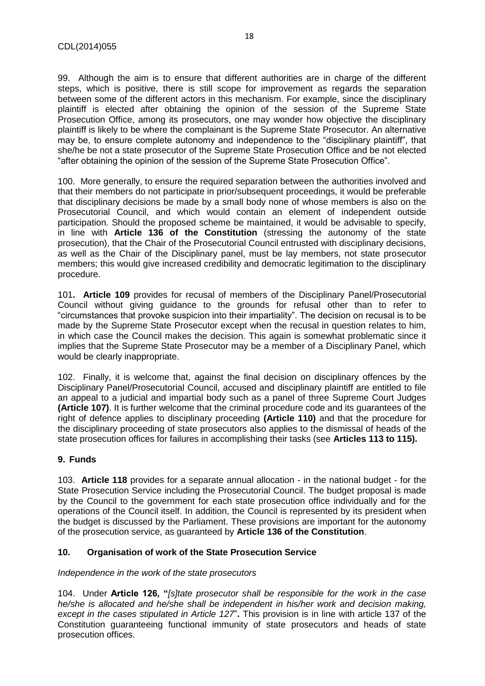99. Although the aim is to ensure that different authorities are in charge of the different steps, which is positive, there is still scope for improvement as regards the separation between some of the different actors in this mechanism. For example, since the disciplinary plaintiff is elected after obtaining the opinion of the session of the Supreme State Prosecution Office, among its prosecutors, one may wonder how objective the disciplinary plaintiff is likely to be where the complainant is the Supreme State Prosecutor. An alternative may be, to ensure complete autonomy and independence to the "disciplinary plaintiff", that she/he be not a state prosecutor of the Supreme State Prosecution Office and be not elected "after obtaining the opinion of the session of the Supreme State Prosecution Office".

100. More generally, to ensure the required separation between the authorities involved and that their members do not participate in prior/subsequent proceedings, it would be preferable that disciplinary decisions be made by a small body none of whose members is also on the Prosecutorial Council, and which would contain an element of independent outside participation. Should the proposed scheme be maintained, it would be advisable to specify, in line with **Article 136 of the Constitution** (stressing the autonomy of the state prosecution), that the Chair of the Prosecutorial Council entrusted with disciplinary decisions, as well as the Chair of the Disciplinary panel, must be lay members, not state prosecutor members; this would give increased credibility and democratic legitimation to the disciplinary procedure.

101**. Article 109** provides for recusal of members of the Disciplinary Panel/Prosecutorial Council without giving guidance to the grounds for refusal other than to refer to "circumstances that provoke suspicion into their impartiality". The decision on recusal is to be made by the Supreme State Prosecutor except when the recusal in question relates to him, in which case the Council makes the decision. This again is somewhat problematic since it implies that the Supreme State Prosecutor may be a member of a Disciplinary Panel, which would be clearly inappropriate.

102. Finally, it is welcome that, against the final decision on disciplinary offences by the Disciplinary Panel/Prosecutorial Council, accused and disciplinary plaintiff are entitled to file an appeal to a judicial and impartial body such as a panel of three Supreme Court Judges **(Article 107)**. It is further welcome that the criminal procedure code and its guarantees of the right of defence applies to disciplinary proceeding **(Article 110)** and that the procedure for the disciplinary proceeding of state prosecutors also applies to the dismissal of heads of the state prosecution offices for failures in accomplishing their tasks (see **Articles 113 to 115).**

### <span id="page-17-0"></span>**9. Funds**

103. **Article 118** provides for a separate annual allocation - in the national budget - for the State Prosecution Service including the Prosecutorial Council. The budget proposal is made by the Council to the government for each state prosecution office individually and for the operations of the Council itself. In addition, the Council is represented by its president when the budget is discussed by the Parliament. These provisions are important for the autonomy of the prosecution service, as guaranteed by **Article 136 of the Constitution**.

### <span id="page-17-1"></span>**10. Organisation of work of the State Prosecution Service**

### *Independence in the work of the state prosecutors*

104. Under **Article 126, "***[s]tate prosecutor shall be responsible for the work in the case he/she is allocated and he/she shall be independent in his/her work and decision making, except in the cases stipulated in Article 127*"**.** This provision is in line with article 137 of the Constitution guaranteeing functional immunity of state prosecutors and heads of state prosecution offices.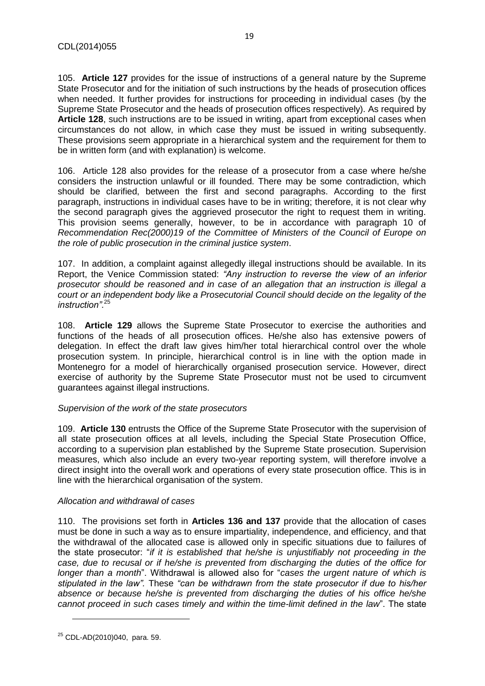105. **Article 127** provides for the issue of instructions of a general nature by the Supreme State Prosecutor and for the initiation of such instructions by the heads of prosecution offices when needed. It further provides for instructions for proceeding in individual cases (by the Supreme State Prosecutor and the heads of prosecution offices respectively). As required by **Article 128**, such instructions are to be issued in writing, apart from exceptional cases when circumstances do not allow, in which case they must be issued in writing subsequently. These provisions seem appropriate in a hierarchical system and the requirement for them to be in written form (and with explanation) is welcome.

106. Article 128 also provides for the release of a prosecutor from a case where he/she considers the instruction unlawful or ill founded. There may be some contradiction, which should be clarified, between the first and second paragraphs. According to the first paragraph, instructions in individual cases have to be in writing; therefore, it is not clear why the second paragraph gives the aggrieved prosecutor the right to request them in writing. This provision seems generally, however, to be in accordance with paragraph 10 of *Recommendation Rec(2000)19 of the Committee of Ministers of the Council of Europe on the role of public prosecution in the criminal justice system*.

107. In addition, a complaint against allegedly illegal instructions should be available. In its Report, the Venice Commission stated: *"Any instruction to reverse the view of an inferior prosecutor should be reasoned and in case of an allegation that an instruction is illegal a court or an independent body like a Prosecutorial Council should decide on the legality of the instruction"*. 25

108. **Article 129** allows the Supreme State Prosecutor to exercise the authorities and functions of the heads of all prosecution offices. He/she also has extensive powers of delegation. In effect the draft law gives him/her total hierarchical control over the whole prosecution system. In principle, hierarchical control is in line with the option made in Montenegro for a model of hierarchically organised prosecution service. However, direct exercise of authority by the Supreme State Prosecutor must not be used to circumvent guarantees against illegal instructions.

#### *Supervision of the work of the state prosecutors*

109. **Article 130** entrusts the Office of the Supreme State Prosecutor with the supervision of all state prosecution offices at all levels, including the Special State Prosecution Office, according to a supervision plan established by the Supreme State prosecution. Supervision measures, which also include an every two-year reporting system, will therefore involve a direct insight into the overall work and operations of every state prosecution office. This is in line with the hierarchical organisation of the system.

#### *Allocation and withdrawal of cases*

110. The provisions set forth in **Articles 136 and 137** provide that the allocation of cases must be done in such a way as to ensure impartiality, independence, and efficiency, and that the withdrawal of the allocated case is allowed only in specific situations due to failures of the state prosecutor: "*if it is established that he/she is unjustifiably not proceeding in the case, due to recusal or if he/she is prevented from discharging the duties of the office for longer than a month*". Withdrawal is allowed also for "*cases the urgent nature of which is stipulated in the law".* These *"can be withdrawn from the state prosecutor if due to his/her absence or because he/she is prevented from discharging the duties of his office he/she cannot proceed in such cases timely and within the time-limit defined in the law*". The state

 $\overline{a}$ 

<sup>25</sup> CDL-AD(2010)040, para. 59.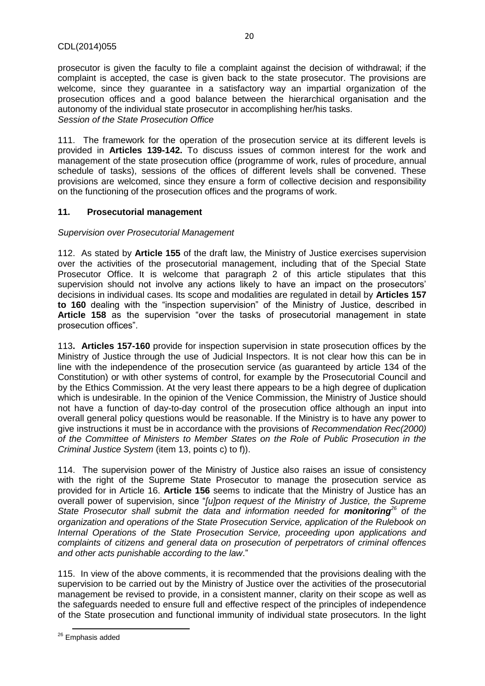prosecutor is given the faculty to file a complaint against the decision of withdrawal; if the complaint is accepted, the case is given back to the state prosecutor. The provisions are welcome, since they guarantee in a satisfactory way an impartial organization of the prosecution offices and a good balance between the hierarchical organisation and the autonomy of the individual state prosecutor in accomplishing her/his tasks. *Session of the State Prosecution Office*

111. The framework for the operation of the prosecution service at its different levels is provided in **Articles 139-142.** To discuss issues of common interest for the work and management of the state prosecution office (programme of work, rules of procedure, annual schedule of tasks), sessions of the offices of different levels shall be convened. These provisions are welcomed, since they ensure a form of collective decision and responsibility on the functioning of the prosecution offices and the programs of work.

### <span id="page-19-0"></span>**11. Prosecutorial management**

### *Supervision over Prosecutorial Management*

112. As stated by **Article 155** of the draft law, the Ministry of Justice exercises supervision over the activities of the prosecutorial management, including that of the Special State Prosecutor Office. It is welcome that paragraph 2 of this article stipulates that this supervision should not involve any actions likely to have an impact on the prosecutors' decisions in individual cases. Its scope and modalities are regulated in detail by **Articles 157 to 160** dealing with the "inspection supervision" of the Ministry of Justice, described in **Article 158** as the supervision "over the tasks of prosecutorial management in state prosecution offices".

113**. Articles 157-160** provide for inspection supervision in state prosecution offices by the Ministry of Justice through the use of Judicial Inspectors. It is not clear how this can be in line with the independence of the prosecution service (as guaranteed by article 134 of the Constitution) or with other systems of control, for example by the Prosecutorial Council and by the Ethics Commission. At the very least there appears to be a high degree of duplication which is undesirable. In the opinion of the Venice Commission, the Ministry of Justice should not have a function of day-to-day control of the prosecution office although an input into overall general policy questions would be reasonable. If the Ministry is to have any power to give instructions it must be in accordance with the provisions of *Recommendation Rec(2000) of the Committee of Ministers to Member States on the Role of Public Prosecution in the Criminal Justice System* (item 13, points c) to f)).

114. The supervision power of the Ministry of Justice also raises an issue of consistency with the right of the Supreme State Prosecutor to manage the prosecution service as provided for in Article 16. **Article 156** seems to indicate that the Ministry of Justice has an overall power of supervision, since "*[u]pon request of the Ministry of Justice, the Supreme State Prosecutor shall submit the data and information needed for monitoring<sup>26</sup> of the organization and operations of the State Prosecution Service, application of the Rulebook on Internal Operations of the State Prosecution Service, proceeding upon applications and complaints of citizens and general data on prosecution of perpetrators of criminal offences and other acts punishable according to the law*."

115. In view of the above comments, it is recommended that the provisions dealing with the supervision to be carried out by the Ministry of Justice over the activities of the prosecutorial management be revised to provide, in a consistent manner, clarity on their scope as well as the safeguards needed to ensure full and effective respect of the principles of independence of the State prosecution and functional immunity of individual state prosecutors. In the light

 $\overline{a}$ <sup>26</sup> Emphasis added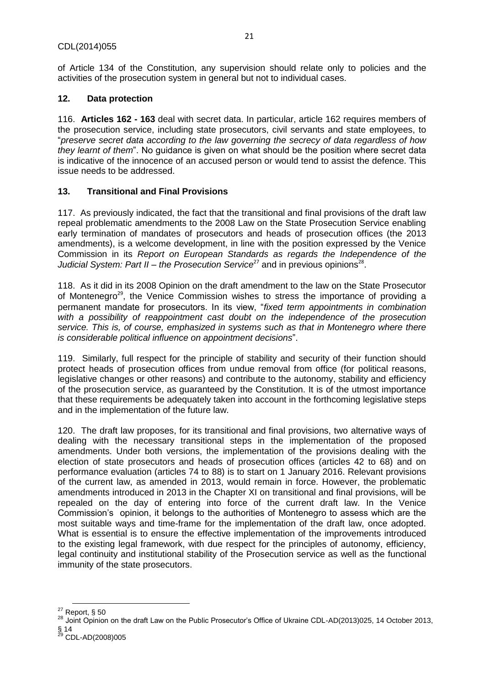of Article 134 of the Constitution, any supervision should relate only to policies and the activities of the prosecution system in general but not to individual cases.

# <span id="page-20-0"></span>**12. Data protection**

116. **Articles 162 - 163** deal with secret data. In particular, article 162 requires members of the prosecution service, including state prosecutors, civil servants and state employees, to "*preserve secret data according to the law governing the secrecy of data regardless of how they learnt of them*". No guidance is given on what should be the position where secret data is indicative of the innocence of an accused person or would tend to assist the defence. This issue needs to be addressed.

# <span id="page-20-1"></span>**13. Transitional and Final Provisions**

117. As previously indicated, the fact that the transitional and final provisions of the draft law repeal problematic amendments to the 2008 Law on the State Prosecution Service enabling early termination of mandates of prosecutors and heads of prosecution offices (the 2013 amendments), is a welcome development, in line with the position expressed by the Venice Commission in its *Report on European Standards as regards the Independence of the*  Judicial System: Part II – the Prosecution Service<sup>27</sup> and in previous opinions<sup>28</sup>.

118. As it did in its 2008 Opinion on the draft amendment to the law on the State Prosecutor of Montenegro<sup>29</sup>, the Venice Commission wishes to stress the importance of providing a permanent mandate for prosecutors. In its view, "*fixed term appointments in combination with a possibility of reappointment cast doubt on the independence of the prosecution service. This is, of course, emphasized in systems such as that in Montenegro where there is considerable political influence on appointment decisions*".

119. Similarly, full respect for the principle of stability and security of their function should protect heads of prosecution offices from undue removal from office (for political reasons, legislative changes or other reasons) and contribute to the autonomy, stability and efficiency of the prosecution service, as guaranteed by the Constitution. It is of the utmost importance that these requirements be adequately taken into account in the forthcoming legislative steps and in the implementation of the future law.

120. The draft law proposes, for its transitional and final provisions, two alternative ways of dealing with the necessary transitional steps in the implementation of the proposed amendments. Under both versions, the implementation of the provisions dealing with the election of state prosecutors and heads of prosecution offices (articles 42 to 68) and on performance evaluation (articles 74 to 88) is to start on 1 January 2016. Relevant provisions of the current law, as amended in 2013, would remain in force. However, the problematic amendments introduced in 2013 in the Chapter XI on transitional and final provisions, will be repealed on the day of entering into force of the current draft law. In the Venice Commission's opinion, it belongs to the authorities of Montenegro to assess which are the most suitable ways and time-frame for the implementation of the draft law, once adopted. What is essential is to ensure the effective implementation of the improvements introduced to the existing legal framework, with due respect for the principles of autonomy, efficiency, legal continuity and institutional stability of the Prosecution service as well as the functional immunity of the state prosecutors.

§ 14

**<sup>.</sup>**  $^{27}$  Report, § 50

<sup>28</sup> Joint Opinion on the draft Law on the Public Prosecutor's Office of Ukraine CDL-AD(2013)025, 14 October 2013,

<sup>&</sup>lt;sup>29</sup> CDL-AD(2008)005